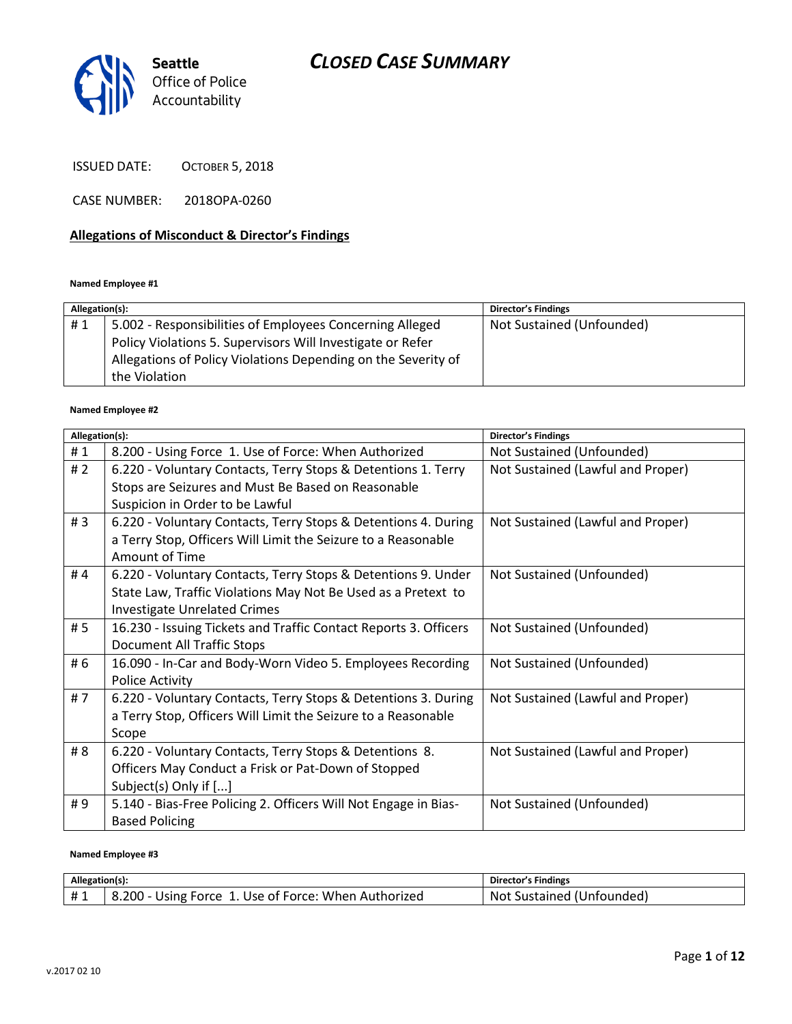

ISSUED DATE: OCTOBER 5, 2018

CASE NUMBER: 2018OPA-0260

#### **Allegations of Misconduct & Director's Findings**

**Named Employee #1**

| Allegation(s): |                                                               | <b>Director's Findings</b> |
|----------------|---------------------------------------------------------------|----------------------------|
| #1             | 5.002 - Responsibilities of Employees Concerning Alleged      | Not Sustained (Unfounded)  |
|                | Policy Violations 5. Supervisors Will Investigate or Refer    |                            |
|                | Allegations of Policy Violations Depending on the Severity of |                            |
|                | the Violation                                                 |                            |

#### **Named Employee #2**

| Allegation(s): |                                                                  | <b>Director's Findings</b>        |
|----------------|------------------------------------------------------------------|-----------------------------------|
| #1             | 8.200 - Using Force 1. Use of Force: When Authorized             | Not Sustained (Unfounded)         |
| #2             | 6.220 - Voluntary Contacts, Terry Stops & Detentions 1. Terry    | Not Sustained (Lawful and Proper) |
|                | Stops are Seizures and Must Be Based on Reasonable               |                                   |
|                | Suspicion in Order to be Lawful                                  |                                   |
| #3             | 6.220 - Voluntary Contacts, Terry Stops & Detentions 4. During   | Not Sustained (Lawful and Proper) |
|                | a Terry Stop, Officers Will Limit the Seizure to a Reasonable    |                                   |
|                | Amount of Time                                                   |                                   |
| #4             | 6.220 - Voluntary Contacts, Terry Stops & Detentions 9. Under    | Not Sustained (Unfounded)         |
|                | State Law, Traffic Violations May Not Be Used as a Pretext to    |                                   |
|                | <b>Investigate Unrelated Crimes</b>                              |                                   |
| # 5            | 16.230 - Issuing Tickets and Traffic Contact Reports 3. Officers | Not Sustained (Unfounded)         |
|                | <b>Document All Traffic Stops</b>                                |                                   |
| # 6            | 16.090 - In-Car and Body-Worn Video 5. Employees Recording       | Not Sustained (Unfounded)         |
|                | <b>Police Activity</b>                                           |                                   |
| #7             | 6.220 - Voluntary Contacts, Terry Stops & Detentions 3. During   | Not Sustained (Lawful and Proper) |
|                | a Terry Stop, Officers Will Limit the Seizure to a Reasonable    |                                   |
|                | Scope                                                            |                                   |
| # 8            | 6.220 - Voluntary Contacts, Terry Stops & Detentions 8.          | Not Sustained (Lawful and Proper) |
|                | Officers May Conduct a Frisk or Pat-Down of Stopped              |                                   |
|                | Subject(s) Only if []                                            |                                   |
| #9             | 5.140 - Bias-Free Policing 2. Officers Will Not Engage in Bias-  | Not Sustained (Unfounded)         |
|                | <b>Based Policing</b>                                            |                                   |

#### **Named Employee #3**

| Allegation(s):    |                                                                       | Director's Findings                      |
|-------------------|-----------------------------------------------------------------------|------------------------------------------|
| $+$ $\sim$<br>. . | . ა.200 - '<br>. Use of Force: When .<br>Force<br>Jsıne<br>Authorized | Sustained (L<br>(Jnfounded<br><b>Not</b> |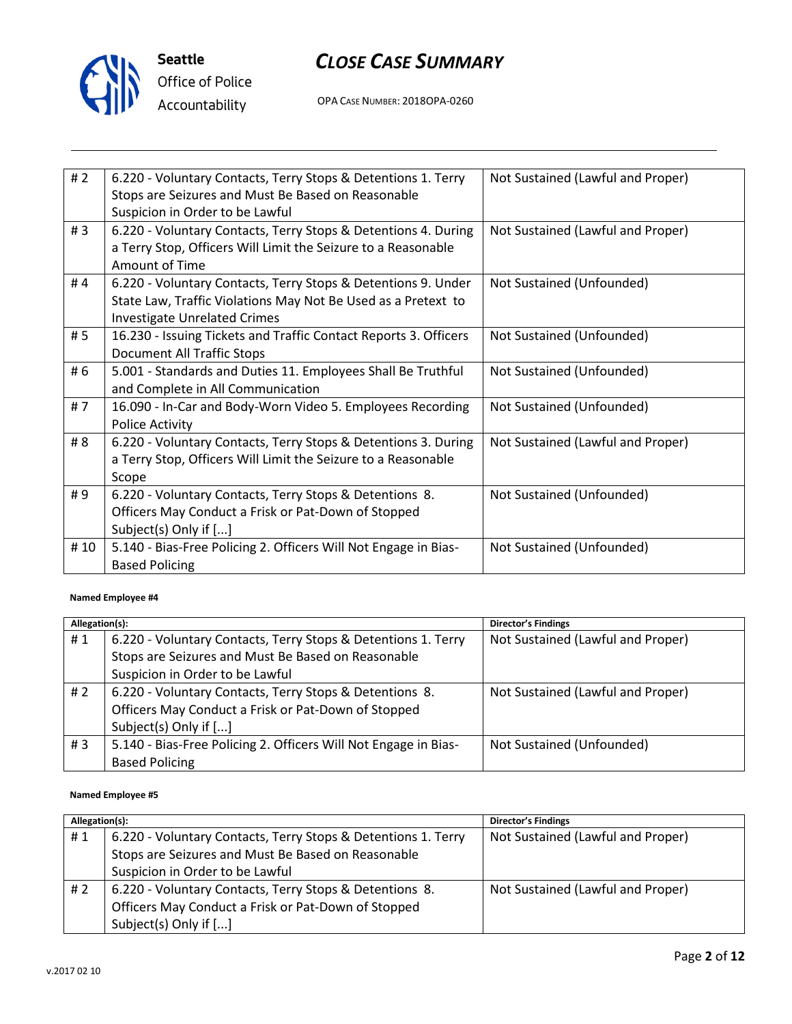

**Seattle** *Office of Police Accountability*

# *CLOSE CASE SUMMARY*

OPA CASE NUMBER: 2018OPA-0260

| #2  | 6.220 - Voluntary Contacts, Terry Stops & Detentions 1. Terry<br>Stops are Seizures and Must Be Based on Reasonable<br>Suspicion in Order to be Lawful                | Not Sustained (Lawful and Proper) |
|-----|-----------------------------------------------------------------------------------------------------------------------------------------------------------------------|-----------------------------------|
| #3  | 6.220 - Voluntary Contacts, Terry Stops & Detentions 4. During<br>a Terry Stop, Officers Will Limit the Seizure to a Reasonable<br>Amount of Time                     | Not Sustained (Lawful and Proper) |
| #4  | 6.220 - Voluntary Contacts, Terry Stops & Detentions 9. Under<br>State Law, Traffic Violations May Not Be Used as a Pretext to<br><b>Investigate Unrelated Crimes</b> | Not Sustained (Unfounded)         |
| # 5 | 16.230 - Issuing Tickets and Traffic Contact Reports 3. Officers<br>Document All Traffic Stops                                                                        | Not Sustained (Unfounded)         |
| # 6 | 5.001 - Standards and Duties 11. Employees Shall Be Truthful<br>and Complete in All Communication                                                                     | Not Sustained (Unfounded)         |
| #7  | 16.090 - In-Car and Body-Worn Video 5. Employees Recording<br><b>Police Activity</b>                                                                                  | Not Sustained (Unfounded)         |
| # 8 | 6.220 - Voluntary Contacts, Terry Stops & Detentions 3. During<br>a Terry Stop, Officers Will Limit the Seizure to a Reasonable<br>Scope                              | Not Sustained (Lawful and Proper) |
| #9  | 6.220 - Voluntary Contacts, Terry Stops & Detentions 8.<br>Officers May Conduct a Frisk or Pat-Down of Stopped<br>Subject(s) Only if []                               | Not Sustained (Unfounded)         |
| #10 | 5.140 - Bias-Free Policing 2. Officers Will Not Engage in Bias-<br><b>Based Policing</b>                                                                              | Not Sustained (Unfounded)         |

#### **Named Employee #4**

| Allegation(s): |                                                                                                                     | <b>Director's Findings</b>        |
|----------------|---------------------------------------------------------------------------------------------------------------------|-----------------------------------|
| #1             | 6.220 - Voluntary Contacts, Terry Stops & Detentions 1. Terry<br>Stops are Seizures and Must Be Based on Reasonable | Not Sustained (Lawful and Proper) |
|                | Suspicion in Order to be Lawful                                                                                     |                                   |
| # 2            | 6.220 - Voluntary Contacts, Terry Stops & Detentions 8.                                                             | Not Sustained (Lawful and Proper) |
|                | Officers May Conduct a Frisk or Pat-Down of Stopped                                                                 |                                   |
|                | Subject(s) Only if []                                                                                               |                                   |
| #3             | 5.140 - Bias-Free Policing 2. Officers Will Not Engage in Bias-                                                     | Not Sustained (Unfounded)         |
|                | <b>Based Policing</b>                                                                                               |                                   |

#### **Named Employee #5**

| Allegation(s): |                                                               | Director's Findings               |
|----------------|---------------------------------------------------------------|-----------------------------------|
| #1             | 6.220 - Voluntary Contacts, Terry Stops & Detentions 1. Terry | Not Sustained (Lawful and Proper) |
|                | Stops are Seizures and Must Be Based on Reasonable            |                                   |
|                | Suspicion in Order to be Lawful                               |                                   |
| # $2$          | 6.220 - Voluntary Contacts, Terry Stops & Detentions 8.       | Not Sustained (Lawful and Proper) |
|                | Officers May Conduct a Frisk or Pat-Down of Stopped           |                                   |
|                | Subject(s) Only if []                                         |                                   |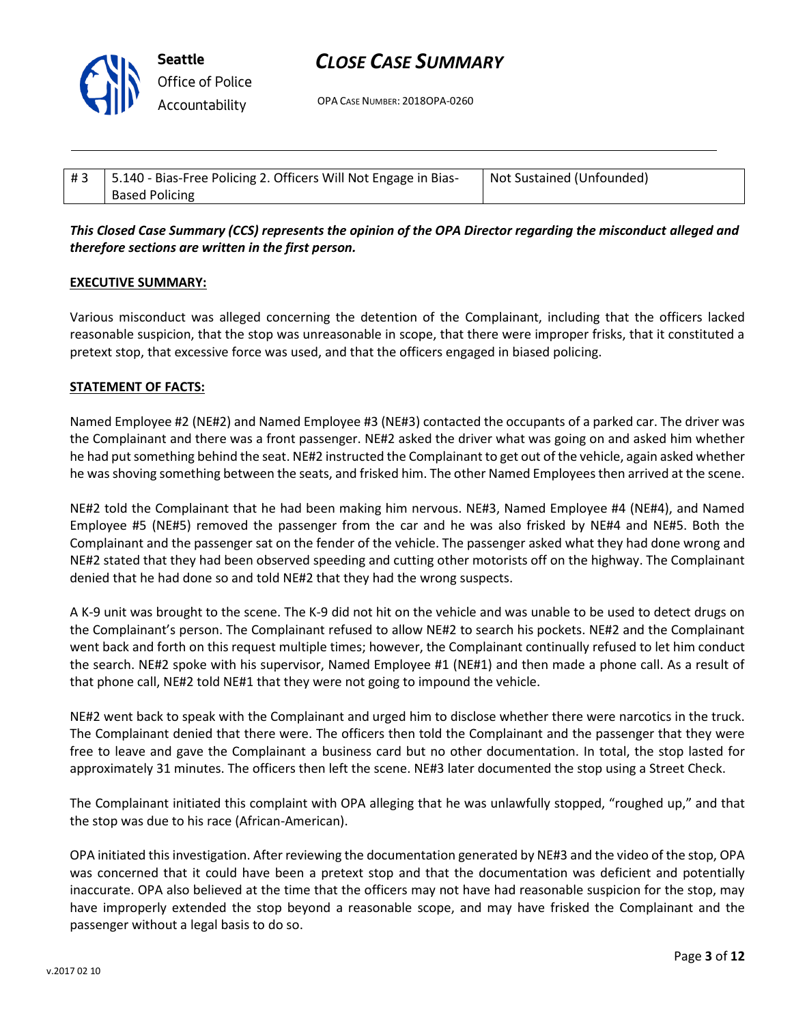

OPA CASE NUMBER: 2018OPA-0260

| #3 | 15.140 - Bias-Free Policing 2. Officers Will Not Engage in Bias- | Not Sustained (Unfounded) |
|----|------------------------------------------------------------------|---------------------------|
|    | <b>Based Policing</b>                                            |                           |

## *This Closed Case Summary (CCS) represents the opinion of the OPA Director regarding the misconduct alleged and therefore sections are written in the first person.*

#### **EXECUTIVE SUMMARY:**

Various misconduct was alleged concerning the detention of the Complainant, including that the officers lacked reasonable suspicion, that the stop was unreasonable in scope, that there were improper frisks, that it constituted a pretext stop, that excessive force was used, and that the officers engaged in biased policing.

#### **STATEMENT OF FACTS:**

Named Employee #2 (NE#2) and Named Employee #3 (NE#3) contacted the occupants of a parked car. The driver was the Complainant and there was a front passenger. NE#2 asked the driver what was going on and asked him whether he had put something behind the seat. NE#2 instructed the Complainant to get out of the vehicle, again asked whether he was shoving something between the seats, and frisked him. The other Named Employees then arrived at the scene.

NE#2 told the Complainant that he had been making him nervous. NE#3, Named Employee #4 (NE#4), and Named Employee #5 (NE#5) removed the passenger from the car and he was also frisked by NE#4 and NE#5. Both the Complainant and the passenger sat on the fender of the vehicle. The passenger asked what they had done wrong and NE#2 stated that they had been observed speeding and cutting other motorists off on the highway. The Complainant denied that he had done so and told NE#2 that they had the wrong suspects.

A K-9 unit was brought to the scene. The K-9 did not hit on the vehicle and was unable to be used to detect drugs on the Complainant's person. The Complainant refused to allow NE#2 to search his pockets. NE#2 and the Complainant went back and forth on this request multiple times; however, the Complainant continually refused to let him conduct the search. NE#2 spoke with his supervisor, Named Employee #1 (NE#1) and then made a phone call. As a result of that phone call, NE#2 told NE#1 that they were not going to impound the vehicle.

NE#2 went back to speak with the Complainant and urged him to disclose whether there were narcotics in the truck. The Complainant denied that there were. The officers then told the Complainant and the passenger that they were free to leave and gave the Complainant a business card but no other documentation. In total, the stop lasted for approximately 31 minutes. The officers then left the scene. NE#3 later documented the stop using a Street Check.

The Complainant initiated this complaint with OPA alleging that he was unlawfully stopped, "roughed up," and that the stop was due to his race (African-American).

OPA initiated this investigation. After reviewing the documentation generated by NE#3 and the video of the stop, OPA was concerned that it could have been a pretext stop and that the documentation was deficient and potentially inaccurate. OPA also believed at the time that the officers may not have had reasonable suspicion for the stop, may have improperly extended the stop beyond a reasonable scope, and may have frisked the Complainant and the passenger without a legal basis to do so.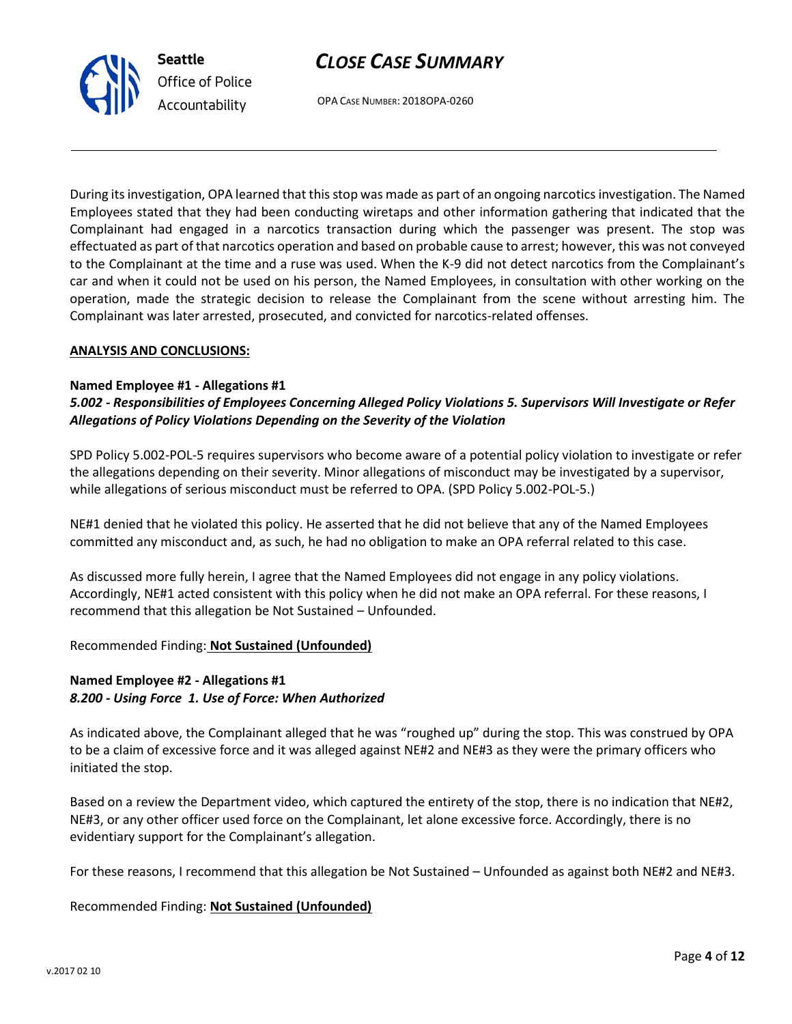OPA CASE NUMBER: 2018OPA-0260

During its investigation, OPA learned that this stop was made as part of an ongoing narcotics investigation. The Named Employees stated that they had been conducting wiretaps and other information gathering that indicated that the Complainant had engaged in a narcotics transaction during which the passenger was present. The stop was effectuated as part of that narcotics operation and based on probable cause to arrest; however, this was not conveyed to the Complainant at the time and a ruse was used. When the K-9 did not detect narcotics from the Complainant's car and when it could not be used on his person, the Named Employees, in consultation with other working on the operation, made the strategic decision to release the Complainant from the scene without arresting him. The Complainant was later arrested, prosecuted, and convicted for narcotics-related offenses.

#### **ANALYSIS AND CONCLUSIONS:**

#### **Named Employee #1 - Allegations #1**

## *5.002 - Responsibilities of Employees Concerning Alleged Policy Violations 5. Supervisors Will Investigate or Refer Allegations of Policy Violations Depending on the Severity of the Violation*

SPD Policy 5.002-POL-5 requires supervisors who become aware of a potential policy violation to investigate or refer the allegations depending on their severity. Minor allegations of misconduct may be investigated by a supervisor, while allegations of serious misconduct must be referred to OPA. (SPD Policy 5.002-POL-5.)

NE#1 denied that he violated this policy. He asserted that he did not believe that any of the Named Employees committed any misconduct and, as such, he had no obligation to make an OPA referral related to this case.

As discussed more fully herein, I agree that the Named Employees did not engage in any policy violations. Accordingly, NE#1 acted consistent with this policy when he did not make an OPA referral. For these reasons, I recommend that this allegation be Not Sustained – Unfounded.

## Recommended Finding: **Not Sustained (Unfounded)**

### **Named Employee #2 - Allegations #1** *8.200 - Using Force 1. Use of Force: When Authorized*

As indicated above, the Complainant alleged that he was "roughed up" during the stop. This was construed by OPA to be a claim of excessive force and it was alleged against NE#2 and NE#3 as they were the primary officers who initiated the stop.

Based on a review the Department video, which captured the entirety of the stop, there is no indication that NE#2, NE#3, or any other officer used force on the Complainant, let alone excessive force. Accordingly, there is no evidentiary support for the Complainant's allegation.

For these reasons, I recommend that this allegation be Not Sustained – Unfounded as against both NE#2 and NE#3.

#### Recommended Finding: **Not Sustained (Unfounded)**



**Seattle** *Office of Police Accountability*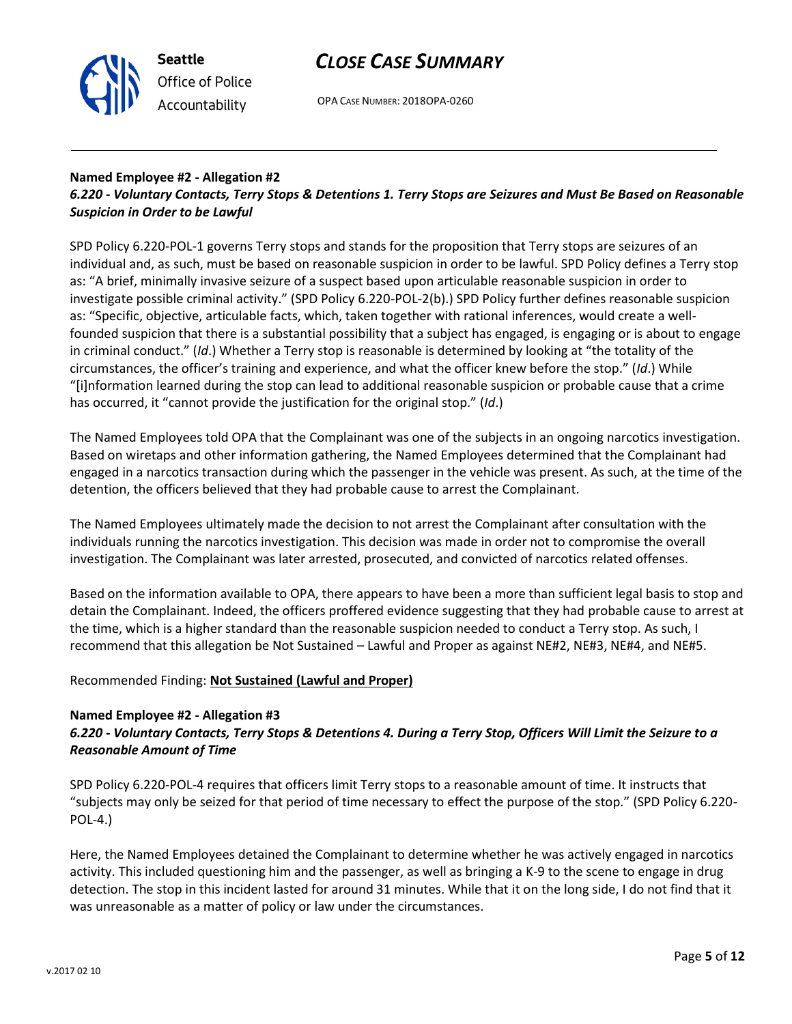



OPA CASE NUMBER: 2018OPA-0260

## **Named Employee #2 - Allegation #2**

## *6.220 - Voluntary Contacts, Terry Stops & Detentions 1. Terry Stops are Seizures and Must Be Based on Reasonable Suspicion in Order to be Lawful*

SPD Policy 6.220-POL-1 governs Terry stops and stands for the proposition that Terry stops are seizures of an individual and, as such, must be based on reasonable suspicion in order to be lawful. SPD Policy defines a Terry stop as: "A brief, minimally invasive seizure of a suspect based upon articulable reasonable suspicion in order to investigate possible criminal activity." (SPD Policy 6.220-POL-2(b).) SPD Policy further defines reasonable suspicion as: "Specific, objective, articulable facts, which, taken together with rational inferences, would create a wellfounded suspicion that there is a substantial possibility that a subject has engaged, is engaging or is about to engage in criminal conduct." (*Id*.) Whether a Terry stop is reasonable is determined by looking at "the totality of the circumstances, the officer's training and experience, and what the officer knew before the stop." (*Id*.) While "[i]nformation learned during the stop can lead to additional reasonable suspicion or probable cause that a crime has occurred, it "cannot provide the justification for the original stop." (*Id*.)

The Named Employees told OPA that the Complainant was one of the subjects in an ongoing narcotics investigation. Based on wiretaps and other information gathering, the Named Employees determined that the Complainant had engaged in a narcotics transaction during which the passenger in the vehicle was present. As such, at the time of the detention, the officers believed that they had probable cause to arrest the Complainant.

The Named Employees ultimately made the decision to not arrest the Complainant after consultation with the individuals running the narcotics investigation. This decision was made in order not to compromise the overall investigation. The Complainant was later arrested, prosecuted, and convicted of narcotics related offenses.

Based on the information available to OPA, there appears to have been a more than sufficient legal basis to stop and detain the Complainant. Indeed, the officers proffered evidence suggesting that they had probable cause to arrest at the time, which is a higher standard than the reasonable suspicion needed to conduct a Terry stop. As such, I recommend that this allegation be Not Sustained – Lawful and Proper as against NE#2, NE#3, NE#4, and NE#5.

## Recommended Finding: **Not Sustained (Lawful and Proper)**

#### **Named Employee #2 - Allegation #3**

## *6.220 - Voluntary Contacts, Terry Stops & Detentions 4. During a Terry Stop, Officers Will Limit the Seizure to a Reasonable Amount of Time*

SPD Policy 6.220-POL-4 requires that officers limit Terry stops to a reasonable amount of time. It instructs that "subjects may only be seized for that period of time necessary to effect the purpose of the stop." (SPD Policy 6.220- POL-4.)

Here, the Named Employees detained the Complainant to determine whether he was actively engaged in narcotics activity. This included questioning him and the passenger, as well as bringing a K-9 to the scene to engage in drug detection. The stop in this incident lasted for around 31 minutes. While that it on the long side, I do not find that it was unreasonable as a matter of policy or law under the circumstances.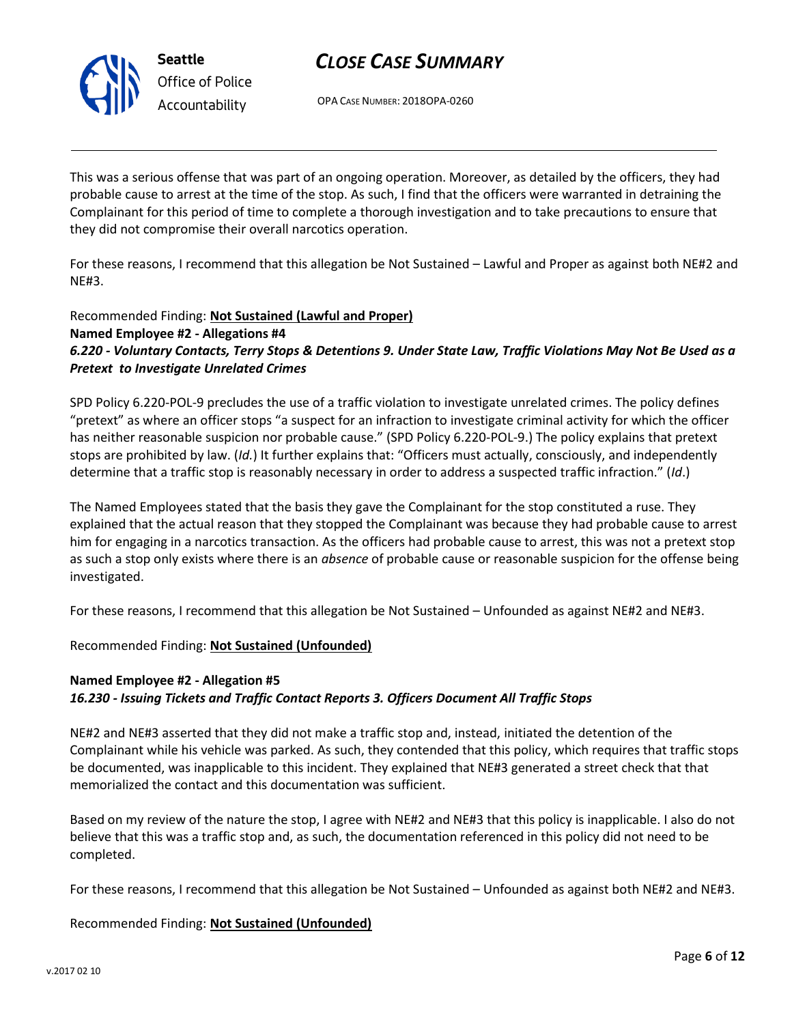

OPA CASE NUMBER: 2018OPA-0260

This was a serious offense that was part of an ongoing operation. Moreover, as detailed by the officers, they had probable cause to arrest at the time of the stop. As such, I find that the officers were warranted in detraining the Complainant for this period of time to complete a thorough investigation and to take precautions to ensure that they did not compromise their overall narcotics operation.

For these reasons, I recommend that this allegation be Not Sustained – Lawful and Proper as against both NE#2 and NE#3.

## Recommended Finding: **Not Sustained (Lawful and Proper) Named Employee #2 - Allegations #4** *6.220 - Voluntary Contacts, Terry Stops & Detentions 9. Under State Law, Traffic Violations May Not Be Used as a Pretext to Investigate Unrelated Crimes*

SPD Policy 6.220-POL-9 precludes the use of a traffic violation to investigate unrelated crimes. The policy defines "pretext" as where an officer stops "a suspect for an infraction to investigate criminal activity for which the officer has neither reasonable suspicion nor probable cause." (SPD Policy 6.220-POL-9.) The policy explains that pretext stops are prohibited by law. (*Id.*) It further explains that: "Officers must actually, consciously, and independently determine that a traffic stop is reasonably necessary in order to address a suspected traffic infraction." (*Id*.)

The Named Employees stated that the basis they gave the Complainant for the stop constituted a ruse. They explained that the actual reason that they stopped the Complainant was because they had probable cause to arrest him for engaging in a narcotics transaction. As the officers had probable cause to arrest, this was not a pretext stop as such a stop only exists where there is an *absence* of probable cause or reasonable suspicion for the offense being investigated.

For these reasons, I recommend that this allegation be Not Sustained – Unfounded as against NE#2 and NE#3.

Recommended Finding: **Not Sustained (Unfounded)**

## **Named Employee #2 - Allegation #5** *16.230 - Issuing Tickets and Traffic Contact Reports 3. Officers Document All Traffic Stops*

NE#2 and NE#3 asserted that they did not make a traffic stop and, instead, initiated the detention of the Complainant while his vehicle was parked. As such, they contended that this policy, which requires that traffic stops be documented, was inapplicable to this incident. They explained that NE#3 generated a street check that that memorialized the contact and this documentation was sufficient.

Based on my review of the nature the stop, I agree with NE#2 and NE#3 that this policy is inapplicable. I also do not believe that this was a traffic stop and, as such, the documentation referenced in this policy did not need to be completed.

For these reasons, I recommend that this allegation be Not Sustained – Unfounded as against both NE#2 and NE#3.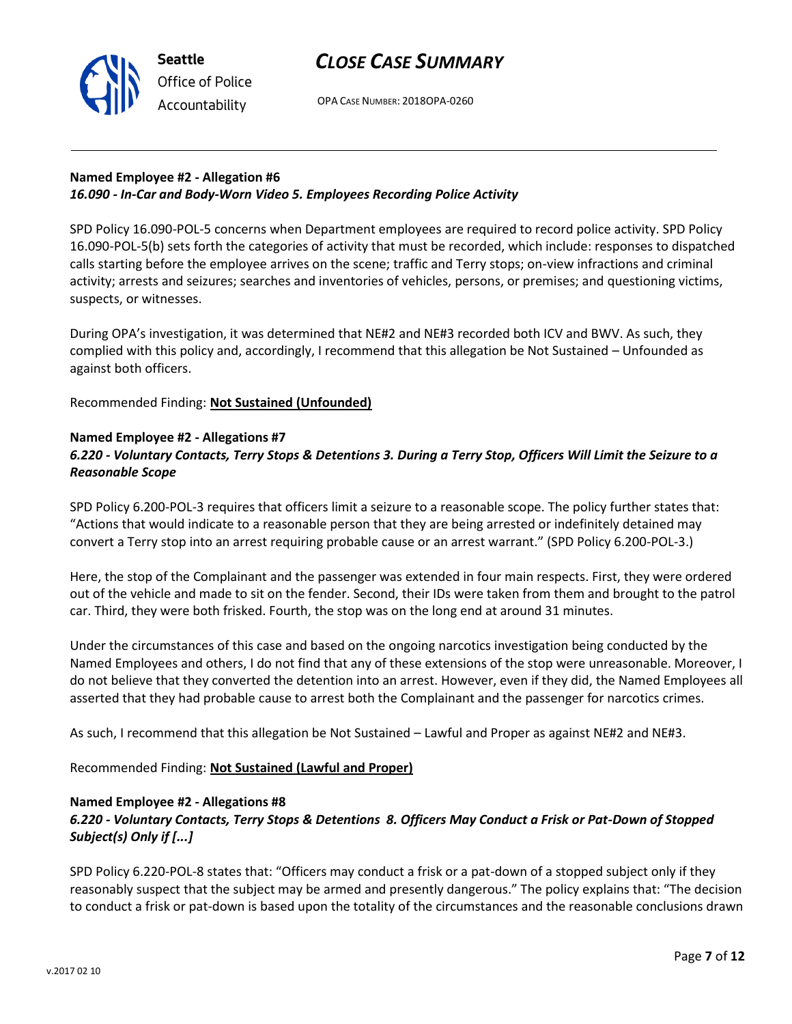OPA CASE NUMBER: 2018OPA-0260

## **Named Employee #2 - Allegation #6** *16.090 - In-Car and Body-Worn Video 5. Employees Recording Police Activity*

SPD Policy 16.090-POL-5 concerns when Department employees are required to record police activity. SPD Policy 16.090-POL-5(b) sets forth the categories of activity that must be recorded, which include: responses to dispatched calls starting before the employee arrives on the scene; traffic and Terry stops; on-view infractions and criminal activity; arrests and seizures; searches and inventories of vehicles, persons, or premises; and questioning victims, suspects, or witnesses.

During OPA's investigation, it was determined that NE#2 and NE#3 recorded both ICV and BWV. As such, they complied with this policy and, accordingly, I recommend that this allegation be Not Sustained – Unfounded as against both officers.

Recommended Finding: **Not Sustained (Unfounded)**

## **Named Employee #2 - Allegations #7**

**Seattle**

*Office of Police Accountability*

## *6.220 - Voluntary Contacts, Terry Stops & Detentions 3. During a Terry Stop, Officers Will Limit the Seizure to a Reasonable Scope*

SPD Policy 6.200-POL-3 requires that officers limit a seizure to a reasonable scope. The policy further states that: "Actions that would indicate to a reasonable person that they are being arrested or indefinitely detained may convert a Terry stop into an arrest requiring probable cause or an arrest warrant." (SPD Policy 6.200-POL-3.)

Here, the stop of the Complainant and the passenger was extended in four main respects. First, they were ordered out of the vehicle and made to sit on the fender. Second, their IDs were taken from them and brought to the patrol car. Third, they were both frisked. Fourth, the stop was on the long end at around 31 minutes.

Under the circumstances of this case and based on the ongoing narcotics investigation being conducted by the Named Employees and others, I do not find that any of these extensions of the stop were unreasonable. Moreover, I do not believe that they converted the detention into an arrest. However, even if they did, the Named Employees all asserted that they had probable cause to arrest both the Complainant and the passenger for narcotics crimes.

As such, I recommend that this allegation be Not Sustained – Lawful and Proper as against NE#2 and NE#3.

Recommended Finding: **Not Sustained (Lawful and Proper)**

#### **Named Employee #2 - Allegations #8**

## *6.220 - Voluntary Contacts, Terry Stops & Detentions 8. Officers May Conduct a Frisk or Pat-Down of Stopped Subject(s) Only if [...]*

SPD Policy 6.220-POL-8 states that: "Officers may conduct a frisk or a pat-down of a stopped subject only if they reasonably suspect that the subject may be armed and presently dangerous." The policy explains that: "The decision to conduct a frisk or pat-down is based upon the totality of the circumstances and the reasonable conclusions drawn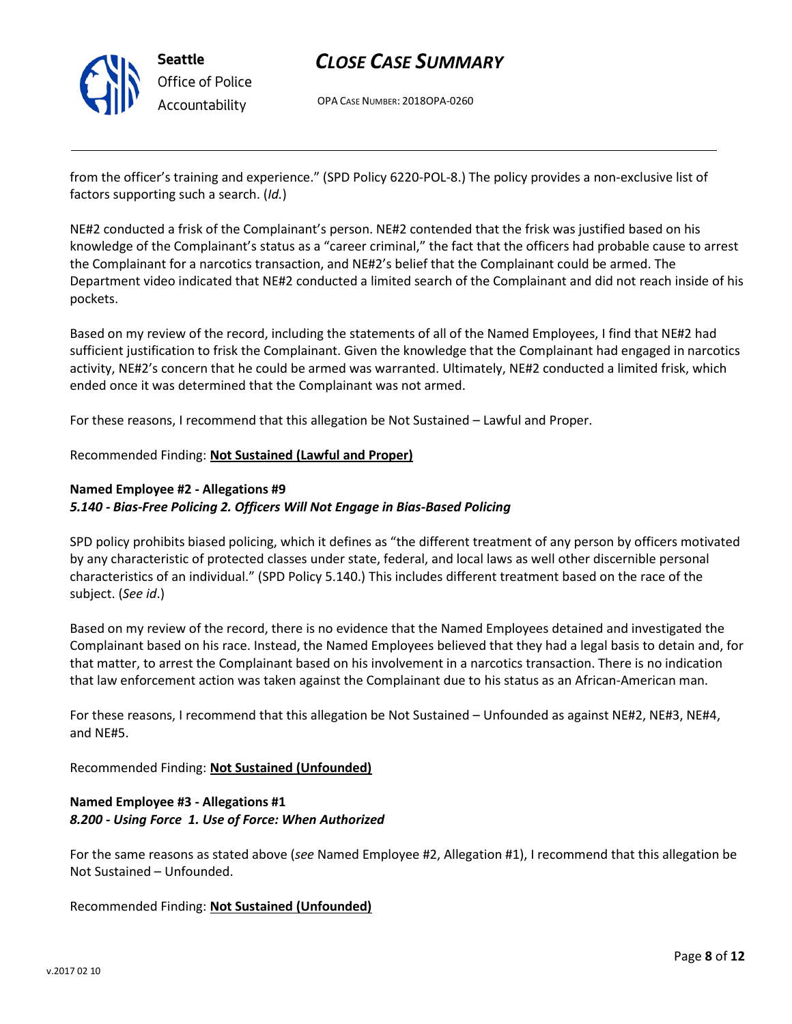

OPA CASE NUMBER: 2018OPA-0260

from the officer's training and experience." (SPD Policy 6220-POL-8.) The policy provides a non-exclusive list of factors supporting such a search. (*Id.*)

NE#2 conducted a frisk of the Complainant's person. NE#2 contended that the frisk was justified based on his knowledge of the Complainant's status as a "career criminal," the fact that the officers had probable cause to arrest the Complainant for a narcotics transaction, and NE#2's belief that the Complainant could be armed. The Department video indicated that NE#2 conducted a limited search of the Complainant and did not reach inside of his pockets.

Based on my review of the record, including the statements of all of the Named Employees, I find that NE#2 had sufficient justification to frisk the Complainant. Given the knowledge that the Complainant had engaged in narcotics activity, NE#2's concern that he could be armed was warranted. Ultimately, NE#2 conducted a limited frisk, which ended once it was determined that the Complainant was not armed.

For these reasons, I recommend that this allegation be Not Sustained – Lawful and Proper.

### Recommended Finding: **Not Sustained (Lawful and Proper)**

#### **Named Employee #2 - Allegations #9** *5.140 - Bias-Free Policing 2. Officers Will Not Engage in Bias-Based Policing*

SPD policy prohibits biased policing, which it defines as "the different treatment of any person by officers motivated by any characteristic of protected classes under state, federal, and local laws as well other discernible personal characteristics of an individual." (SPD Policy 5.140.) This includes different treatment based on the race of the subject. (*See id*.)

Based on my review of the record, there is no evidence that the Named Employees detained and investigated the Complainant based on his race. Instead, the Named Employees believed that they had a legal basis to detain and, for that matter, to arrest the Complainant based on his involvement in a narcotics transaction. There is no indication that law enforcement action was taken against the Complainant due to his status as an African-American man.

For these reasons, I recommend that this allegation be Not Sustained – Unfounded as against NE#2, NE#3, NE#4, and NE#5.

Recommended Finding: **Not Sustained (Unfounded)**

### **Named Employee #3 - Allegations #1** *8.200 - Using Force 1. Use of Force: When Authorized*

For the same reasons as stated above (*see* Named Employee #2, Allegation #1), I recommend that this allegation be Not Sustained – Unfounded.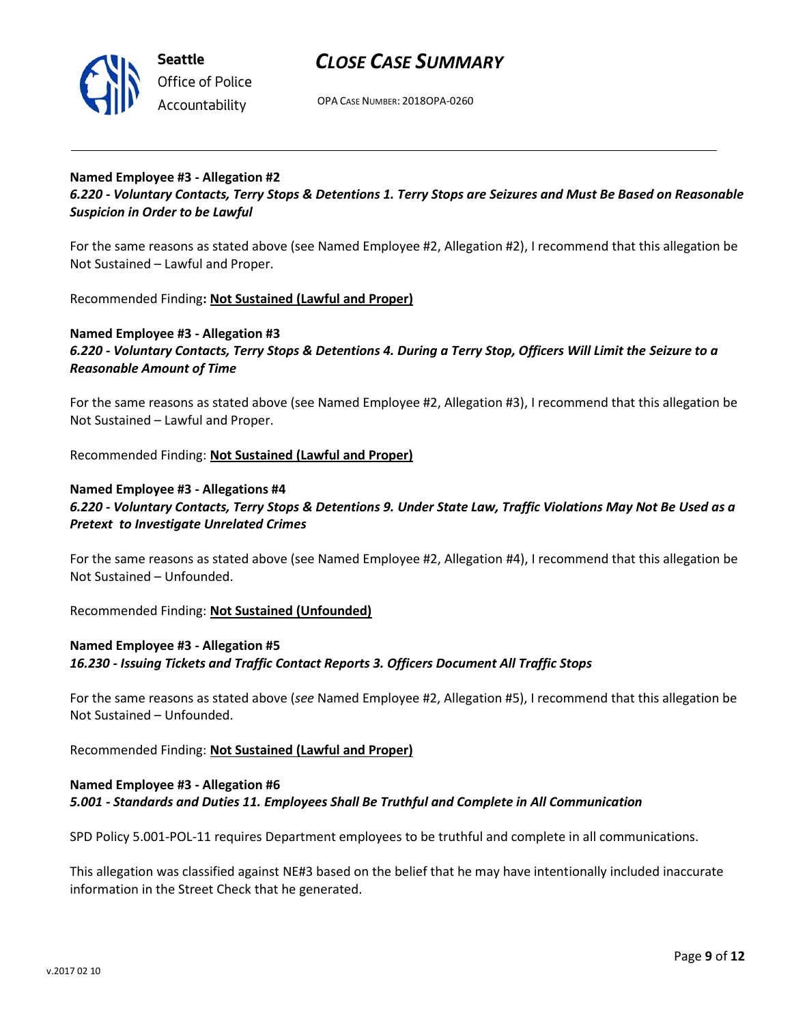

OPA CASE NUMBER: 2018OPA-0260

#### **Named Employee #3 - Allegation #2**

*6.220 - Voluntary Contacts, Terry Stops & Detentions 1. Terry Stops are Seizures and Must Be Based on Reasonable Suspicion in Order to be Lawful*

For the same reasons as stated above (see Named Employee #2, Allegation #2), I recommend that this allegation be Not Sustained – Lawful and Proper.

Recommended Finding**: Not Sustained (Lawful and Proper)**

#### **Named Employee #3 - Allegation #3** *6.220 - Voluntary Contacts, Terry Stops & Detentions 4. During a Terry Stop, Officers Will Limit the Seizure to a Reasonable Amount of Time*

For the same reasons as stated above (see Named Employee #2, Allegation #3), I recommend that this allegation be Not Sustained – Lawful and Proper.

Recommended Finding: **Not Sustained (Lawful and Proper)**

## **Named Employee #3 - Allegations #4** *6.220 - Voluntary Contacts, Terry Stops & Detentions 9. Under State Law, Traffic Violations May Not Be Used as a Pretext to Investigate Unrelated Crimes*

For the same reasons as stated above (see Named Employee #2, Allegation #4), I recommend that this allegation be Not Sustained – Unfounded.

Recommended Finding: **Not Sustained (Unfounded)**

#### **Named Employee #3 - Allegation #5**

#### *16.230 - Issuing Tickets and Traffic Contact Reports 3. Officers Document All Traffic Stops*

For the same reasons as stated above (*see* Named Employee #2, Allegation #5), I recommend that this allegation be Not Sustained – Unfounded.

Recommended Finding: **Not Sustained (Lawful and Proper)**

### **Named Employee #3 - Allegation #6** *5.001 - Standards and Duties 11. Employees Shall Be Truthful and Complete in All Communication*

SPD Policy 5.001-POL-11 requires Department employees to be truthful and complete in all communications.

This allegation was classified against NE#3 based on the belief that he may have intentionally included inaccurate information in the Street Check that he generated.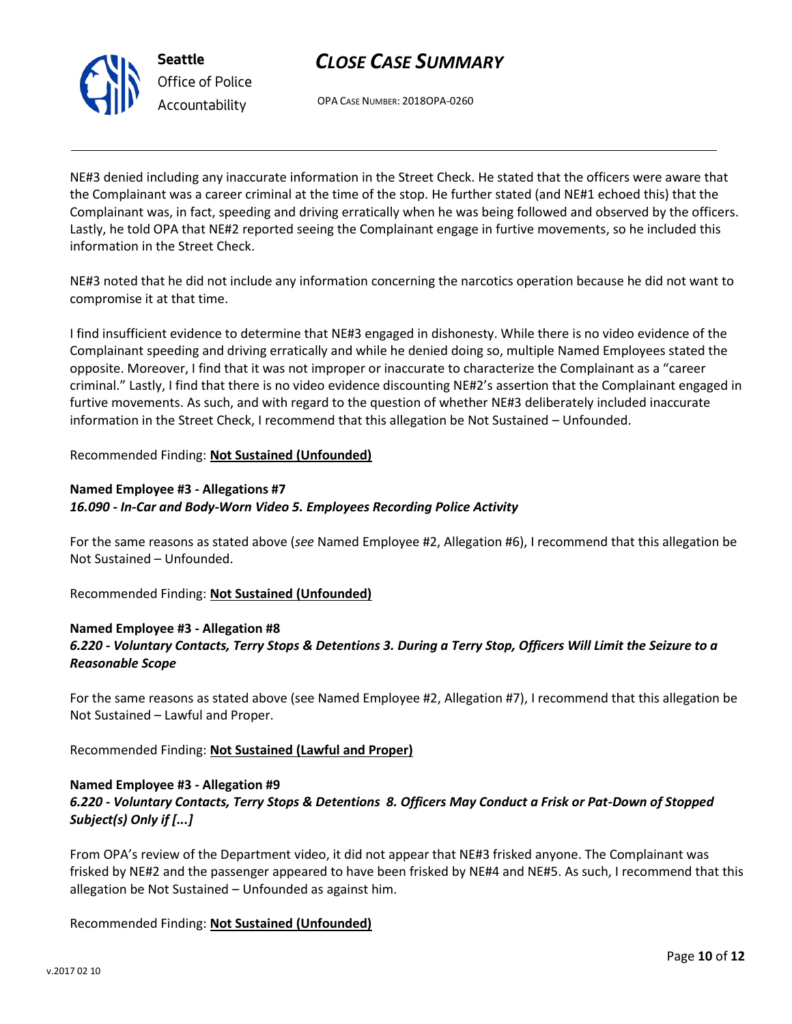



OPA CASE NUMBER: 2018OPA-0260

NE#3 denied including any inaccurate information in the Street Check. He stated that the officers were aware that the Complainant was a career criminal at the time of the stop. He further stated (and NE#1 echoed this) that the Complainant was, in fact, speeding and driving erratically when he was being followed and observed by the officers. Lastly, he told OPA that NE#2 reported seeing the Complainant engage in furtive movements, so he included this information in the Street Check.

NE#3 noted that he did not include any information concerning the narcotics operation because he did not want to compromise it at that time.

I find insufficient evidence to determine that NE#3 engaged in dishonesty. While there is no video evidence of the Complainant speeding and driving erratically and while he denied doing so, multiple Named Employees stated the opposite. Moreover, I find that it was not improper or inaccurate to characterize the Complainant as a "career criminal." Lastly, I find that there is no video evidence discounting NE#2's assertion that the Complainant engaged in furtive movements. As such, and with regard to the question of whether NE#3 deliberately included inaccurate information in the Street Check, I recommend that this allegation be Not Sustained – Unfounded.

## Recommended Finding: **Not Sustained (Unfounded)**

## **Named Employee #3 - Allegations #7** *16.090 - In-Car and Body-Worn Video 5. Employees Recording Police Activity*

For the same reasons as stated above (*see* Named Employee #2, Allegation #6), I recommend that this allegation be Not Sustained – Unfounded.

Recommended Finding: **Not Sustained (Unfounded)**

## **Named Employee #3 - Allegation #8** *6.220 - Voluntary Contacts, Terry Stops & Detentions 3. During a Terry Stop, Officers Will Limit the Seizure to a Reasonable Scope*

For the same reasons as stated above (see Named Employee #2, Allegation #7), I recommend that this allegation be Not Sustained – Lawful and Proper.

Recommended Finding: **Not Sustained (Lawful and Proper)**

## **Named Employee #3 - Allegation #9**

*6.220 - Voluntary Contacts, Terry Stops & Detentions 8. Officers May Conduct a Frisk or Pat-Down of Stopped Subject(s) Only if [...]*

From OPA's review of the Department video, it did not appear that NE#3 frisked anyone. The Complainant was frisked by NE#2 and the passenger appeared to have been frisked by NE#4 and NE#5. As such, I recommend that this allegation be Not Sustained – Unfounded as against him.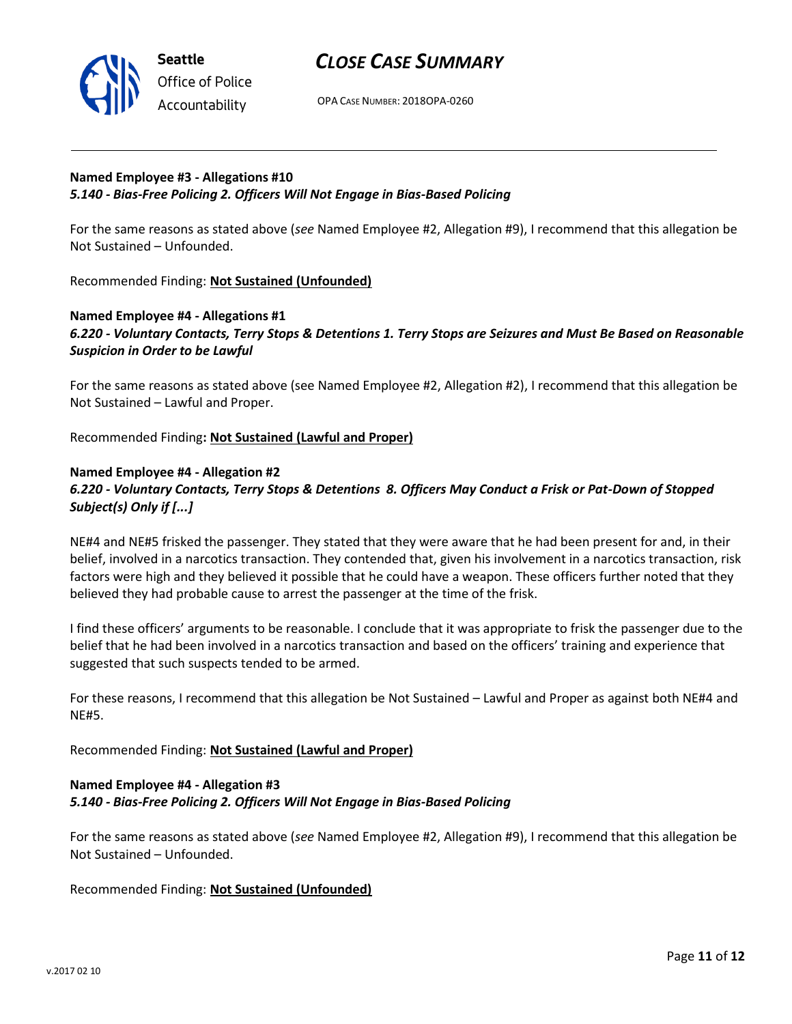

OPA CASE NUMBER: 2018OPA-0260

### **Named Employee #3 - Allegations #10** *5.140 - Bias-Free Policing 2. Officers Will Not Engage in Bias-Based Policing*

For the same reasons as stated above (*see* Named Employee #2, Allegation #9), I recommend that this allegation be Not Sustained – Unfounded.

Recommended Finding: **Not Sustained (Unfounded)**

### **Named Employee #4 - Allegations #1** *6.220 - Voluntary Contacts, Terry Stops & Detentions 1. Terry Stops are Seizures and Must Be Based on Reasonable Suspicion in Order to be Lawful*

For the same reasons as stated above (see Named Employee #2, Allegation #2), I recommend that this allegation be Not Sustained – Lawful and Proper.

Recommended Finding**: Not Sustained (Lawful and Proper)**

## **Named Employee #4 - Allegation #2** *6.220 - Voluntary Contacts, Terry Stops & Detentions 8. Officers May Conduct a Frisk or Pat-Down of Stopped Subject(s) Only if [...]*

NE#4 and NE#5 frisked the passenger. They stated that they were aware that he had been present for and, in their belief, involved in a narcotics transaction. They contended that, given his involvement in a narcotics transaction, risk factors were high and they believed it possible that he could have a weapon. These officers further noted that they believed they had probable cause to arrest the passenger at the time of the frisk.

I find these officers' arguments to be reasonable. I conclude that it was appropriate to frisk the passenger due to the belief that he had been involved in a narcotics transaction and based on the officers' training and experience that suggested that such suspects tended to be armed.

For these reasons, I recommend that this allegation be Not Sustained – Lawful and Proper as against both NE#4 and NE#5.

Recommended Finding: **Not Sustained (Lawful and Proper)**

## **Named Employee #4 - Allegation #3** *5.140 - Bias-Free Policing 2. Officers Will Not Engage in Bias-Based Policing*

For the same reasons as stated above (*see* Named Employee #2, Allegation #9), I recommend that this allegation be Not Sustained – Unfounded.